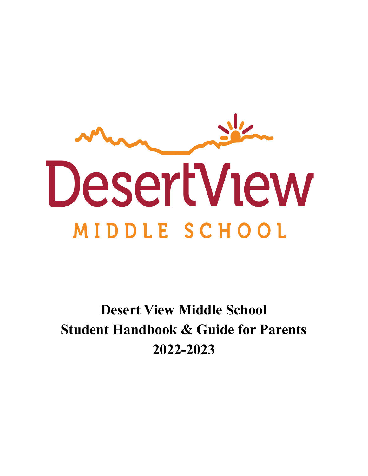

**Desert View Middle School Student Handbook & Guide for Parents 2022-2023**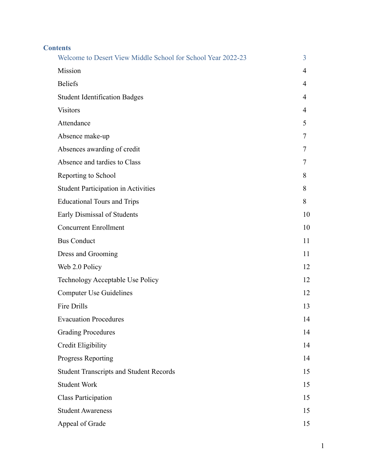| <b>Contents</b>                                              |    |
|--------------------------------------------------------------|----|
| Welcome to Desert View Middle School for School Year 2022-23 | 3  |
| Mission                                                      | 4  |
| <b>Beliefs</b>                                               | 4  |
| <b>Student Identification Badges</b>                         | 4  |
| <b>Visitors</b>                                              | 4  |
| Attendance                                                   | 5  |
| Absence make-up                                              | 7  |
| Absences awarding of credit                                  | 7  |
| Absence and tardies to Class                                 | 7  |
| Reporting to School                                          | 8  |
| <b>Student Participation in Activities</b>                   | 8  |
| <b>Educational Tours and Trips</b>                           | 8  |
| Early Dismissal of Students                                  | 10 |
| <b>Concurrent Enrollment</b>                                 | 10 |
| <b>Bus Conduct</b>                                           | 11 |
| Dress and Grooming                                           | 11 |
| Web 2.0 Policy                                               | 12 |
| Technology Acceptable Use Policy                             | 12 |
| <b>Computer Use Guidelines</b>                               | 12 |
| Fire Drills                                                  | 13 |
| <b>Evacuation Procedures</b>                                 | 14 |
| <b>Grading Procedures</b>                                    | 14 |
| Credit Eligibility                                           | 14 |
| Progress Reporting                                           | 14 |
| <b>Student Transcripts and Student Records</b>               | 15 |
| <b>Student Work</b>                                          | 15 |
| <b>Class Participation</b>                                   | 15 |
| <b>Student Awareness</b>                                     | 15 |
| Appeal of Grade                                              | 15 |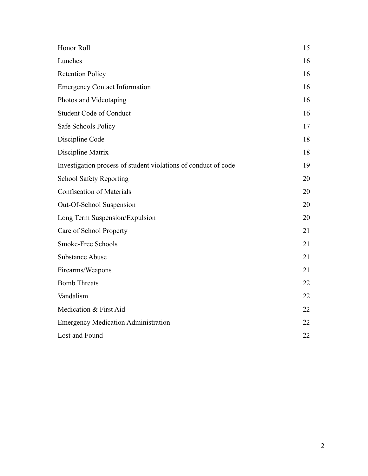| Honor Roll                                                     | 15 |
|----------------------------------------------------------------|----|
| Lunches                                                        | 16 |
| <b>Retention Policy</b>                                        | 16 |
| <b>Emergency Contact Information</b>                           | 16 |
| Photos and Videotaping                                         | 16 |
| <b>Student Code of Conduct</b>                                 | 16 |
| Safe Schools Policy                                            | 17 |
| Discipline Code                                                | 18 |
| Discipline Matrix                                              | 18 |
| Investigation process of student violations of conduct of code | 19 |
| <b>School Safety Reporting</b>                                 | 20 |
| <b>Confiscation of Materials</b>                               | 20 |
| Out-Of-School Suspension                                       | 20 |
| Long Term Suspension/Expulsion                                 | 20 |
| Care of School Property                                        | 21 |
| Smoke-Free Schools                                             | 21 |
| <b>Substance Abuse</b>                                         | 21 |
| Firearms/Weapons                                               | 21 |
| <b>Bomb Threats</b>                                            | 22 |
| Vandalism                                                      | 22 |
| Medication & First Aid                                         | 22 |
| <b>Emergency Medication Administration</b>                     | 22 |
| Lost and Found                                                 | 22 |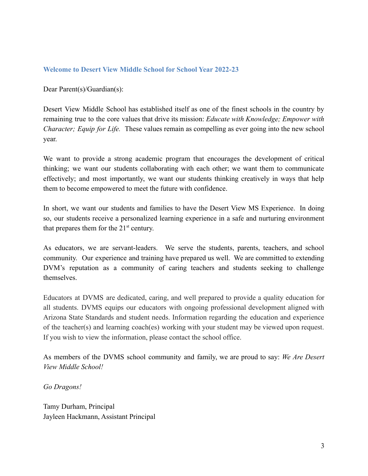### **Welcome to Desert View Middle School for School Year 2022-23**

Dear Parent(s)/Guardian(s):

Desert View Middle School has established itself as one of the finest schools in the country by remaining true to the core values that drive its mission: *Educate with Knowledge; Empower with Character; Equip for Life.* These values remain as compelling as ever going into the new school year.

We want to provide a strong academic program that encourages the development of critical thinking; we want our students collaborating with each other; we want them to communicate effectively; and most importantly, we want our students thinking creatively in ways that help them to become empowered to meet the future with confidence.

In short, we want our students and families to have the Desert View MS Experience. In doing so, our students receive a personalized learning experience in a safe and nurturing environment that prepares them for the  $21<sup>st</sup>$  century.

As educators, we are servant-leaders. We serve the students, parents, teachers, and school community. Our experience and training have prepared us well. We are committed to extending DVM's reputation as a community of caring teachers and students seeking to challenge themselves.

Educators at DVMS are dedicated, caring, and well prepared to provide a quality education for all students. DVMS equips our educators with ongoing professional development aligned with Arizona State Standards and student needs. Information regarding the education and experience of the teacher(s) and learning coach(es) working with your student may be viewed upon request. If you wish to view the information, please contact the school office.

As members of the DVMS school community and family, we are proud to say: *We Are Desert View Middle School!*

*Go Dragons!*

Tamy Durham, Principal Jayleen Hackmann, Assistant Principal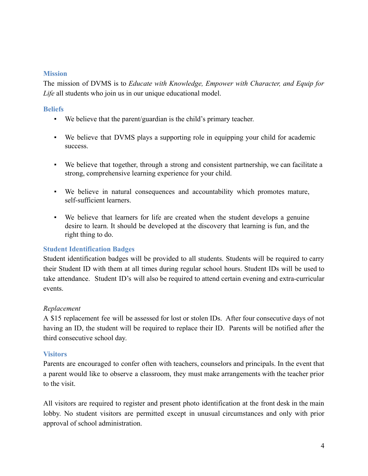#### **Mission**

<span id="page-4-0"></span>The mission of DVMS is to *Educate with Knowledge, Empower with Character, and Equip for Life* all students who join us in our unique educational model.

### **Beliefs**

- We believe that the parent/guardian is the child's primary teacher.
- We believe that DVMS plays a supporting role in equipping your child for academic success.
- We believe that together, through a strong and consistent partnership, we can facilitate a strong, comprehensive learning experience for your child.
- We believe in natural consequences and accountability which promotes mature, self-sufficient learners.
- We believe that learners for life are created when the student develops a genuine desire to learn. It should be developed at the discovery that learning is fun, and the right thing to do.

### **Student Identification Badges**

Student identification badges will be provided to all students. Students will be required to carry their Student ID with them at all times during regular school hours. Student IDs will be used to take attendance. Student ID's will also be required to attend certain evening and extra-curricular events.

### *Replacement*

A \$15 replacement fee will be assessed for lost or stolen IDs. After four consecutive days of not having an ID, the student will be required to replace their ID. Parents will be notified after the third consecutive school day.

### **Visitors**

<span id="page-4-1"></span>Parents are encouraged to confer often with teachers, counselors and principals. In the event that a parent would like to observe a classroom, they must make arrangements with the teacher prior to the visit.

All visitors are required to register and present photo identification at the front desk in the main lobby. No student visitors are permitted except in unusual circumstances and only with prior approval of school administration.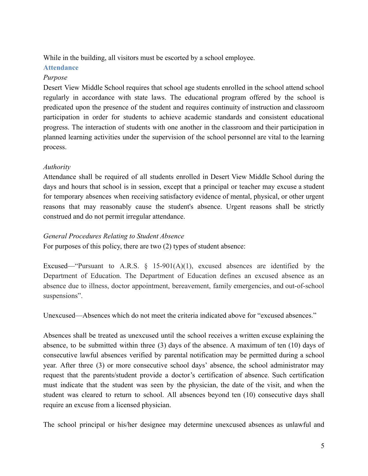<span id="page-5-0"></span>While in the building, all visitors must be escorted by a school employee.

# **Attendance**

# *Purpose*

Desert View Middle School requires that school age students enrolled in the school attend school regularly in accordance with state laws. The educational program offered by the school is predicated upon the presence of the student and requires continuity of instruction and classroom participation in order for students to achieve academic standards and consistent educational progress. The interaction of students with one another in the classroom and their participation in planned learning activities under the supervision of the school personnel are vital to the learning process.

# *Authority*

Attendance shall be required of all students enrolled in Desert View Middle School during the days and hours that school is in session, except that a principal or teacher may excuse a student for temporary absences when receiving satisfactory evidence of mental, physical, or other urgent reasons that may reasonably cause the student's absence. Urgent reasons shall be strictly construed and do not permit irregular attendance.

### *General Procedures Relating to Student Absence*

For purposes of this policy, there are two (2) types of student absence:

Excused—"Pursuant to A.R.S.  $\S$  15-901(A)(1), excused absences are identified by the Department of Education. The Department of Education defines an excused absence as an absence due to illness, doctor appointment, bereavement, family emergencies, and out-of-school suspensions".

Unexcused—Absences which do not meet the criteria indicated above for "excused absences."

Absences shall be treated as unexcused until the school receives a written excuse explaining the absence, to be submitted within three (3) days of the absence. A maximum of ten (10) days of consecutive lawful absences verified by parental notification may be permitted during a school year. After three (3) or more consecutive school days' absence, the school administrator may request that the parents/student provide a doctor's certification of absence. Such certification must indicate that the student was seen by the physician, the date of the visit, and when the student was cleared to return to school. All absences beyond ten (10) consecutive days shall require an excuse from a licensed physician.

The school principal or his/her designee may determine unexcused absences as unlawful and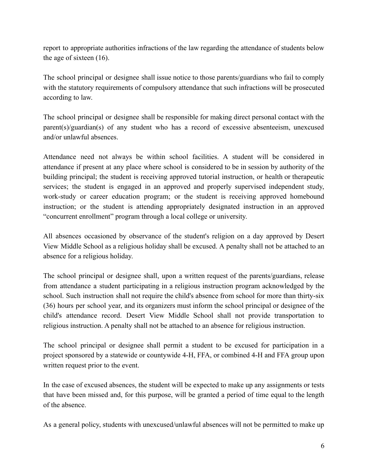report to appropriate authorities infractions of the law regarding the attendance of students below the age of sixteen (16).

The school principal or designee shall issue notice to those parents/guardians who fail to comply with the statutory requirements of compulsory attendance that such infractions will be prosecuted according to law.

The school principal or designee shall be responsible for making direct personal contact with the parent(s)/guardian(s) of any student who has a record of excessive absenteeism, unexcused and/or unlawful absences.

Attendance need not always be within school facilities. A student will be considered in attendance if present at any place where school is considered to be in session by authority of the building principal; the student is receiving approved tutorial instruction, or health or therapeutic services; the student is engaged in an approved and properly supervised independent study, work-study or career education program; or the student is receiving approved homebound instruction; or the student is attending appropriately designated instruction in an approved "concurrent enrollment" program through a local college or university.

All absences occasioned by observance of the student's religion on a day approved by Desert View Middle School as a religious holiday shall be excused. A penalty shall not be attached to an absence for a religious holiday.

The school principal or designee shall, upon a written request of the parents/guardians, release from attendance a student participating in a religious instruction program acknowledged by the school. Such instruction shall not require the child's absence from school for more than thirty-six (36) hours per school year, and its organizers must inform the school principal or designee of the child's attendance record. Desert View Middle School shall not provide transportation to religious instruction. A penalty shall not be attached to an absence for religious instruction.

The school principal or designee shall permit a student to be excused for participation in a project sponsored by a statewide or countywide 4-H, FFA, or combined 4-H and FFA group upon written request prior to the event.

In the case of excused absences, the student will be expected to make up any assignments or tests that have been missed and, for this purpose, will be granted a period of time equal to the length of the absence.

As a general policy, students with unexcused/unlawful absences will not be permitted to make up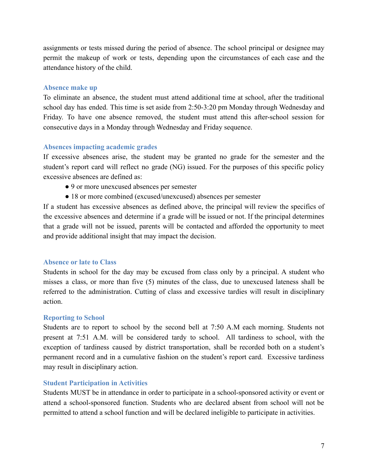assignments or tests missed during the period of absence. The school principal or designee may permit the makeup of work or tests, depending upon the circumstances of each case and the attendance history of the child.

#### **Absence make up**

To eliminate an absence, the student must attend additional time at school, after the traditional school day has ended. This time is set aside from 2:50-3:20 pm Monday through Wednesday and Friday. To have one absence removed, the student must attend this after-school session for consecutive days in a Monday through Wednesday and Friday sequence.

### **Absences impacting academic grades**

If excessive absences arise, the student may be granted no grade for the semester and the student's report card will reflect no grade (NG) issued. For the purposes of this specific policy excessive absences are defined as:

- 9 or more unexcused absences per semester
- 18 or more combined (excused/unexcused) absences per semester

If a student has excessive absences as defined above, the principal will review the specifics of the excessive absences and determine if a grade will be issued or not. If the principal determines that a grade will not be issued, parents will be contacted and afforded the opportunity to meet and provide additional insight that may impact the decision.

### **Absence or late to Class**

Students in school for the day may be excused from class only by a principal. A student who misses a class, or more than five (5) minutes of the class, due to unexcused lateness shall be referred to the administration. Cutting of class and excessive tardies will result in disciplinary action.

### <span id="page-7-1"></span>**Reporting to School**

Students are to report to school by the second bell at 7:50 A.M each morning. Students not present at 7:51 A.M. will be considered tardy to school. All tardiness to school, with the exception of tardiness caused by district transportation, shall be recorded both on a student's permanent record and in a cumulative fashion on the student's report card. Excessive tardiness may result in disciplinary action.

### <span id="page-7-0"></span>**Student Participation in Activities**

<span id="page-7-2"></span>Students MUST be in attendance in order to participate in a school-sponsored activity or event or attend a school-sponsored function. Students who are declared absent from school will not be permitted to attend a school function and will be declared ineligible to participate in activities.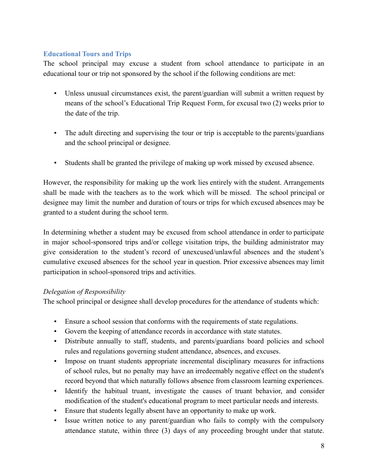# **Educational Tours and Trips**

The school principal may excuse a student from school attendance to participate in an educational tour or trip not sponsored by the school if the following conditions are met:

- Unless unusual circumstances exist, the parent/guardian will submit a written request by means of the school's Educational Trip Request Form, for excusal two (2) weeks prior to the date of the trip.
- The adult directing and supervising the tour or trip is acceptable to the parents/guardians and the school principal or designee.
- Students shall be granted the privilege of making up work missed by excused absence.

However, the responsibility for making up the work lies entirely with the student. Arrangements shall be made with the teachers as to the work which will be missed. The school principal or designee may limit the number and duration of tours or trips for which excused absences may be granted to a student during the school term.

In determining whether a student may be excused from school attendance in order to participate in major school-sponsored trips and/or college visitation trips, the building administrator may give consideration to the student's record of unexcused/unlawful absences and the student's cumulative excused absences for the school year in question. Prior excessive absences may limit participation in school-sponsored trips and activities.

### *Delegation of Responsibility*

The school principal or designee shall develop procedures for the attendance of students which:

- Ensure a school session that conforms with the requirements of state regulations.
- Govern the keeping of attendance records in accordance with state statutes.
- Distribute annually to staff, students, and parents/guardians board policies and school rules and regulations governing student attendance, absences, and excuses.
- Impose on truant students appropriate incremental disciplinary measures for infractions of school rules, but no penalty may have an irredeemably negative effect on the student's record beyond that which naturally follows absence from classroom learning experiences.
- Identify the habitual truant, investigate the causes of truant behavior, and consider modification of the student's educational program to meet particular needs and interests.
- **Ensure that students legally absent have an opportunity to make up work.**
- Issue written notice to any parent/guardian who fails to comply with the compulsory attendance statute, within three (3) days of any proceeding brought under that statute.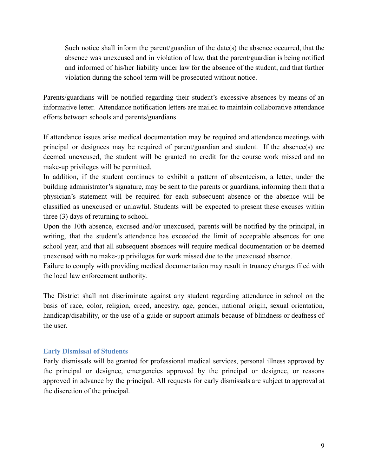Such notice shall inform the parent/guardian of the date(s) the absence occurred, that the absence was unexcused and in violation of law, that the parent/guardian is being notified and informed of his/her liability under law for the absence of the student, and that further violation during the school term will be prosecuted without notice.

Parents/guardians will be notified regarding their student's excessive absences by means of an informative letter. Attendance notification letters are mailed to maintain collaborative attendance efforts between schools and parents/guardians.

If attendance issues arise medical documentation may be required and attendance meetings with principal or designees may be required of parent/guardian and student. If the absence(s) are deemed unexcused, the student will be granted no credit for the course work missed and no make-up privileges will be permitted.

In addition, if the student continues to exhibit a pattern of absenteeism, a letter, under the building administrator's signature, may be sent to the parents or guardians, informing them that a physician's statement will be required for each subsequent absence or the absence will be classified as unexcused or unlawful. Students will be expected to present these excuses within three (3) days of returning to school.

Upon the 10th absence, excused and/or unexcused, parents will be notified by the principal, in writing, that the student's attendance has exceeded the limit of acceptable absences for one school year, and that all subsequent absences will require medical documentation or be deemed unexcused with no make-up privileges for work missed due to the unexcused absence.

Failure to comply with providing medical documentation may result in truancy charges filed with the local law enforcement authority.

The District shall not discriminate against any student regarding attendance in school on the basis of race, color, religion, creed, ancestry, age, gender, national origin, sexual orientation, handicap/disability, or the use of a guide or support animals because of blindness or deafness of the user.

### <span id="page-9-0"></span>**Early Dismissal of Students**

<span id="page-9-1"></span>Early dismissals will be granted for professional medical services, personal illness approved by the principal or designee, emergencies approved by the principal or designee, or reasons approved in advance by the principal. All requests for early dismissals are subject to approval at the discretion of the principal.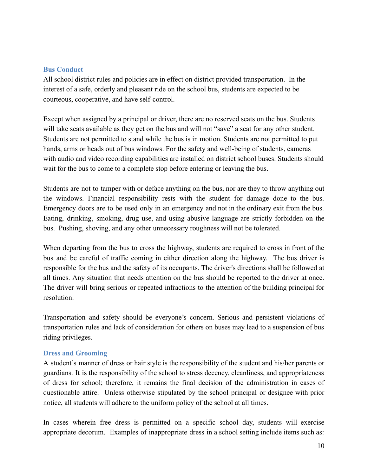#### **Bus Conduct**

All school district rules and policies are in effect on district provided transportation. In the interest of a safe, orderly and pleasant ride on the school bus, students are expected to be courteous, cooperative, and have self-control.

Except when assigned by a principal or driver, there are no reserved seats on the bus. Students will take seats available as they get on the bus and will not "save" a seat for any other student. Students are not permitted to stand while the bus is in motion. Students are not permitted to put hands, arms or heads out of bus windows. For the safety and well-being of students, cameras with audio and video recording capabilities are installed on district school buses. Students should wait for the bus to come to a complete stop before entering or leaving the bus.

Students are not to tamper with or deface anything on the bus, nor are they to throw anything out the windows. Financial responsibility rests with the student for damage done to the bus. Emergency doors are to be used only in an emergency and not in the ordinary exit from the bus. Eating, drinking, smoking, drug use, and using abusive language are strictly forbidden on the bus. Pushing, shoving, and any other unnecessary roughness will not be tolerated.

When departing from the bus to cross the highway, students are required to cross in front of the bus and be careful of traffic coming in either direction along the highway. The bus driver is responsible for the bus and the safety of its occupants. The driver's directions shall be followed at all times. Any situation that needs attention on the bus should be reported to the driver at once. The driver will bring serious or repeated infractions to the attention of the building principal for resolution.

Transportation and safety should be everyone's concern. Serious and persistent violations of transportation rules and lack of consideration for others on buses may lead to a suspension of bus riding privileges.

#### <span id="page-10-0"></span>**Dress and Grooming**

A student's manner of dress or hair style is the responsibility of the student and his/her parents or guardians. It is the responsibility of the school to stress decency, cleanliness, and appropriateness of dress for school; therefore, it remains the final decision of the administration in cases of questionable attire. Unless otherwise stipulated by the school principal or designee with prior notice, all students will adhere to the uniform policy of the school at all times.

In cases wherein free dress is permitted on a specific school day, students will exercise appropriate decorum. Examples of inappropriate dress in a school setting include items such as: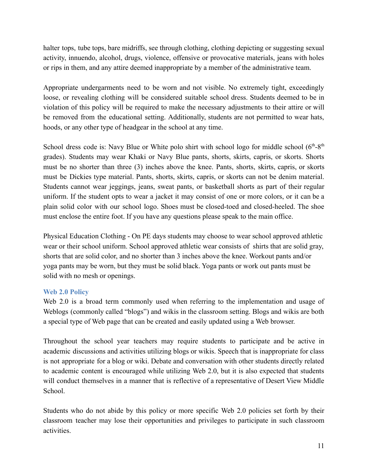halter tops, tube tops, bare midriffs, see through clothing, clothing depicting or suggesting sexual activity, innuendo, alcohol, drugs, violence, offensive or provocative materials, jeans with holes or rips in them, and any attire deemed inappropriate by a member of the administrative team.

Appropriate undergarments need to be worn and not visible. No extremely tight, exceedingly loose, or revealing clothing will be considered suitable school dress. Students deemed to be in violation of this policy will be required to make the necessary adjustments to their attire or will be removed from the educational setting. Additionally, students are not permitted to wear hats, hoods, or any other type of headgear in the school at any time.

School dress code is: Navy Blue or White polo shirt with school logo for middle school  $(6<sup>th</sup>-8<sup>th</sup>$ grades). Students may wear Khaki or Navy Blue pants, shorts, skirts, capris, or skorts. Shorts must be no shorter than three (3) inches above the knee. Pants, shorts, skirts, capris, or skorts must be Dickies type material. Pants, shorts, skirts, capris, or skorts can not be denim material. Students cannot wear jeggings, jeans, sweat pants, or basketball shorts as part of their regular uniform. If the student opts to wear a jacket it may consist of one or more colors, or it can be a plain solid color with our school logo. Shoes must be closed-toed and closed-heeled. The shoe must enclose the entire foot. If you have any questions please speak to the main office.

Physical Education Clothing - On PE days students may choose to wear school approved athletic wear or their school uniform. School approved athletic wear consists of shirts that are solid gray, shorts that are solid color, and no shorter than 3 inches above the knee. Workout pants and/or yoga pants may be worn, but they must be solid black. Yoga pants or work out pants must be solid with no mesh or openings.

### <span id="page-11-0"></span>**Web 2.0 Policy**

Web 2.0 is a broad term commonly used when referring to the implementation and usage of Weblogs (commonly called "blogs") and wikis in the classroom setting. Blogs and wikis are both a special type of Web page that can be created and easily updated using a Web browser.

Throughout the school year teachers may require students to participate and be active in academic discussions and activities utilizing blogs or wikis. Speech that is inappropriate for class is not appropriate for a blog or wiki. Debate and conversation with other students directly related to academic content is encouraged while utilizing Web 2.0, but it is also expected that students will conduct themselves in a manner that is reflective of a representative of Desert View Middle School.

<span id="page-11-1"></span>Students who do not abide by this policy or more specific Web 2.0 policies set forth by their classroom teacher may lose their opportunities and privileges to participate in such classroom activities.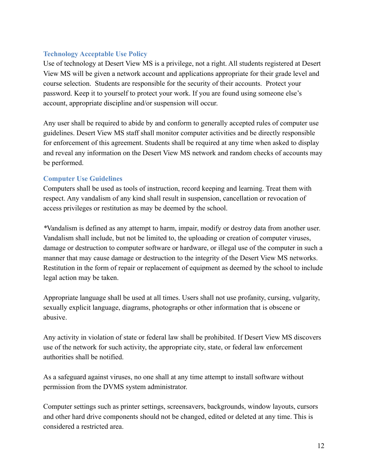### **Technology Acceptable Use Policy**

Use of technology at Desert View MS is a privilege, not a right. All students registered at Desert View MS will be given a network account and applications appropriate for their grade level and course selection. Students are responsible for the security of their accounts. Protect your password. Keep it to yourself to protect your work. If you are found using someone else's account, appropriate discipline and/or suspension will occur.

Any user shall be required to abide by and conform to generally accepted rules of computer use guidelines. Desert View MS staff shall monitor computer activities and be directly responsible for enforcement of this agreement. Students shall be required at any time when asked to display and reveal any information on the Desert View MS network and random checks of accounts may be performed.

# **Computer Use Guidelines**

Computers shall be used as tools of instruction, record keeping and learning. Treat them with respect. Any vandalism of any kind shall result in suspension, cancellation or revocation of access privileges or restitution as may be deemed by the school.

*\**Vandalism is defined as any attempt to harm, impair, modify or destroy data from another user. Vandalism shall include, but not be limited to, the uploading or creation of computer viruses, damage or destruction to computer software or hardware, or illegal use of the computer in such a manner that may cause damage or destruction to the integrity of the Desert View MS networks. Restitution in the form of repair or replacement of equipment as deemed by the school to include legal action may be taken.

Appropriate language shall be used at all times. Users shall not use profanity, cursing, vulgarity, sexually explicit language, diagrams, photographs or other information that is obscene or abusive.

Any activity in violation of state or federal law shall be prohibited. If Desert View MS discovers use of the network for such activity, the appropriate city, state, or federal law enforcement authorities shall be notified.

As a safeguard against viruses, no one shall at any time attempt to install software without permission from the DVMS system administrator.

Computer settings such as printer settings, screensavers, backgrounds, window layouts, cursors and other hard drive components should not be changed, edited or deleted at any time. This is considered a restricted area.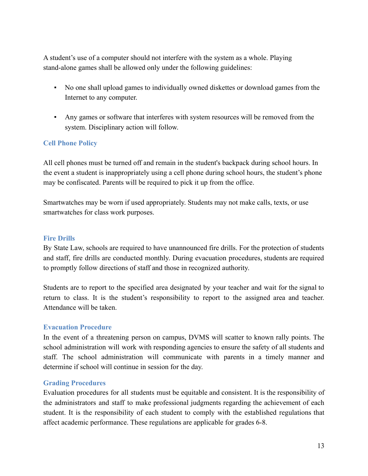A student's use of a computer should not interfere with the system as a whole. Playing stand-alone games shall be allowed only under the following guidelines:

- No one shall upload games to individually owned diskettes or download games from the Internet to any computer.
- Any games or software that interferes with system resources will be removed from the system. Disciplinary action will follow.

# **Cell Phone Policy**

All cell phones must be turned off and remain in the student's backpack during school hours. In the event a student is inappropriately using a cell phone during school hours, the student's phone may be confiscated. Parents will be required to pick it up from the office.

Smartwatches may be worn if used appropriately. Students may not make calls, texts, or use smartwatches for class work purposes.

### **Fire Drills**

By State Law, schools are required to have unannounced fire drills. For the protection of students and staff, fire drills are conducted monthly. During evacuation procedures, students are required to promptly follow directions of staff and those in recognized authority.

Students are to report to the specified area designated by your teacher and wait for the signal to return to class. It is the student's responsibility to report to the assigned area and teacher. Attendance will be taken.

#### **Evacuation Procedure**

In the event of a threatening person on campus, DVMS will scatter to known rally points. The school administration will work with responding agencies to ensure the safety of all students and staff. The school administration will communicate with parents in a timely manner and determine if school will continue in session for the day.

### **Grading Procedures**

<span id="page-13-0"></span>Evaluation procedures for all students must be equitable and consistent. It is the responsibility of the administrators and staff to make professional judgments regarding the achievement of each student. It is the responsibility of each student to comply with the established regulations that affect academic performance. These regulations are applicable for grades 6-8.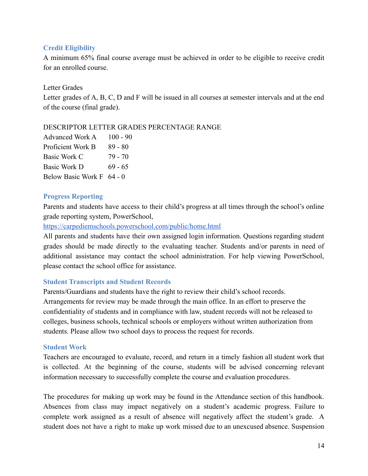### **Credit Eligibility**

A minimum 65% final course average must be achieved in order to be eligible to receive credit for an enrolled course.

#### Letter Grades

Letter grades of A, B, C, D and F will be issued in all courses at semester intervals and at the end of the course (final grade).

#### DESCRIPTOR LETTER GRADES PERCENTAGE RANGE

| <b>Advanced Work A</b>    | $100 - 90$ |
|---------------------------|------------|
| Proficient Work B         | $89 - 80$  |
| <b>Basic Work C</b>       | 79 - 70    |
| <b>Basic Work D</b>       | $69 - 65$  |
| <b>Below Basic Work F</b> | $64 - 0$   |

#### <span id="page-14-0"></span>**Progress Reporting**

<span id="page-14-1"></span>Parents and students have access to their child's progress at all times through the school's online grade reporting system, PowerSchool,

<https://carpediemschools.powerschool.com/public/home.html>

All parents and students have their own assigned login information. Questions regarding student grades should be made directly to the evaluating teacher. Students and/or parents in need of additional assistance may contact the school administration. For help viewing PowerSchool, please contact the school office for assistance.

#### **Student Transcripts and Student Records**

Parents/Guardians and students have the right to review their child's school records. Arrangements for review may be made through the main office. In an effort to preserve the confidentiality of students and in compliance with law, student records will not be released to colleges, business schools, technical schools or employers without written authorization from students. Please allow two school days to process the request for records.

#### **Student Work**

<span id="page-14-2"></span>Teachers are encouraged to evaluate, record, and return in a timely fashion all student work that is collected. At the beginning of the course, students will be advised concerning relevant information necessary to successfully complete the course and evaluation procedures.

The procedures for making up work may be found in the Attendance section of this handbook. Absences from class may impact negatively on a student's academic progress. Failure to complete work assigned as a result of absence will negatively affect the student's grade. A student does not have a right to make up work missed due to an unexcused absence. Suspension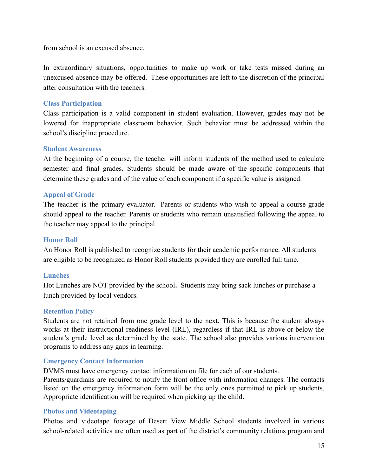from school is an excused absence.

In extraordinary situations, opportunities to make up work or take tests missed during an unexcused absence may be offered. These opportunities are left to the discretion of the principal after consultation with the teachers.

#### <span id="page-15-1"></span>**Class Participation**

Class participation is a valid component in student evaluation. However, grades may not be lowered for inappropriate classroom behavior. Such behavior must be addressed within the school's discipline procedure.

#### <span id="page-15-0"></span>**Student Awareness**

At the beginning of a course, the teacher will inform students of the method used to calculate semester and final grades. Students should be made aware of the specific components that determine these grades and of the value of each component if a specific value is assigned.

#### **Appeal of Grade**

The teacher is the primary evaluator. Parents or students who wish to appeal a course grade should appeal to the teacher. Parents or students who remain unsatisfied following the appeal to the teacher may appeal to the principal.

#### **Honor Roll**

An Honor Roll is published to recognize students for their academic performance. All students are eligible to be recognized as Honor Roll students provided they are enrolled full time.

#### **Lunches**

<span id="page-15-2"></span>Hot Lunches are NOT provided by the school**.** Students may bring sack lunches or purchase a lunch provided by local vendors.

#### **Retention Policy**

Students are not retained from one grade level to the next. This is because the student always works at their instructional readiness level (IRL), regardless if that IRL is above or below the student's grade level as determined by the state. The school also provides various intervention programs to address any gaps in learning.

#### <span id="page-15-3"></span>**Emergency Contact Information**

DVMS must have emergency contact information on file for each of our students.

Parents/guardians are required to notify the front office with information changes. The contacts listed on the emergency information form will be the only ones permitted to pick up students. Appropriate identification will be required when picking up the child.

#### <span id="page-15-4"></span>**Photos and Videotaping**

Photos and videotape footage of Desert View Middle School students involved in various school-related activities are often used as part of the district's community relations program and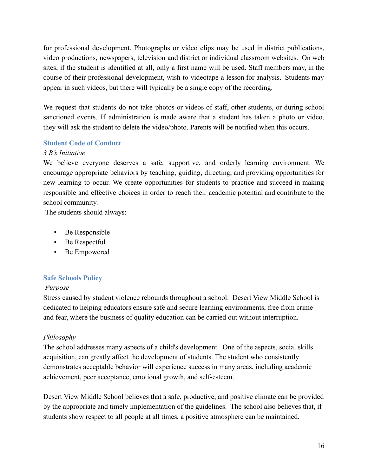for professional development. Photographs or video clips may be used in district publications, video productions, newspapers, television and district or individual classroom websites. On web sites, if the student is identified at all, only a first name will be used. Staff members may, in the course of their professional development, wish to videotape a lesson for analysis. Students may appear in such videos, but there will typically be a single copy of the recording.

<span id="page-16-0"></span>We request that students do not take photos or videos of staff, other students, or during school sanctioned events. If administration is made aware that a student has taken a photo or video, they will ask the student to delete the video/photo. Parents will be notified when this occurs.

### **Student Code of Conduct**

#### *3 B's Initiative*

We believe everyone deserves a safe, supportive, and orderly learning environment. We encourage appropriate behaviors by teaching, guiding, directing, and providing opportunities for new learning to occur. We create opportunities for students to practice and succeed in making responsible and effective choices in order to reach their academic potential and contribute to the school community.

The students should always:

- Be Responsible
- Be Respectful
- <span id="page-16-1"></span>▪ Be Empowered

### **Safe Schools Policy**

### *Purpose*

Stress caused by student violence rebounds throughout a school. Desert View Middle School is dedicated to helping educators ensure safe and secure learning environments, free from crime and fear, where the business of quality education can be carried out without interruption.

### *Philosophy*

The school addresses many aspects of a child's development. One of the aspects, social skills acquisition, can greatly affect the development of students. The student who consistently demonstrates acceptable behavior will experience success in many areas, including academic achievement, peer acceptance, emotional growth, and self-esteem.

Desert View Middle School believes that a safe, productive, and positive climate can be provided by the appropriate and timely implementation of the guidelines. The school also believes that, if students show respect to all people at all times, a positive atmosphere can be maintained.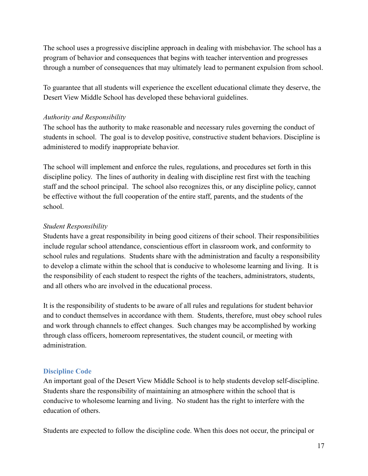The school uses a progressive discipline approach in dealing with misbehavior. The school has a program of behavior and consequences that begins with teacher intervention and progresses through a number of consequences that may ultimately lead to permanent expulsion from school.

To guarantee that all students will experience the excellent educational climate they deserve, the Desert View Middle School has developed these behavioral guidelines.

### *Authority and Responsibility*

The school has the authority to make reasonable and necessary rules governing the conduct of students in school. The goal is to develop positive, constructive student behaviors. Discipline is administered to modify inappropriate behavior.

The school will implement and enforce the rules, regulations, and procedures set forth in this discipline policy. The lines of authority in dealing with discipline rest first with the teaching staff and the school principal. The school also recognizes this, or any discipline policy, cannot be effective without the full cooperation of the entire staff, parents, and the students of the school.

# *Student Responsibility*

Students have a great responsibility in being good citizens of their school. Their responsibilities include regular school attendance, conscientious effort in classroom work, and conformity to school rules and regulations. Students share with the administration and faculty a responsibility to develop a climate within the school that is conducive to wholesome learning and living. It is the responsibility of each student to respect the rights of the teachers, administrators, students, and all others who are involved in the educational process.

It is the responsibility of students to be aware of all rules and regulations for student behavior and to conduct themselves in accordance with them. Students, therefore, must obey school rules and work through channels to effect changes. Such changes may be accomplished by working through class officers, homeroom representatives, the student council, or meeting with administration.

### <span id="page-17-0"></span>**Discipline Code**

An important goal of the Desert View Middle School is to help students develop self-discipline. Students share the responsibility of maintaining an atmosphere within the school that is conducive to wholesome learning and living. No student has the right to interfere with the education of others.

Students are expected to follow the discipline code. When this does not occur, the principal or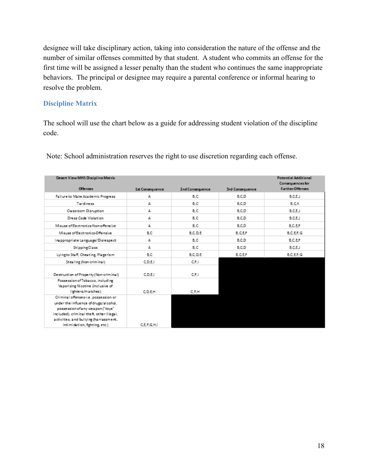designee will take disciplinary action, taking into consideration the nature of the offense and the number of similar offenses committed by that student. A student who commits an offense for the first time will be assigned a lesser penalty than the student who continues the same inappropriate behaviors. The principal or designee may require a parental conference or informal hearing to resolve the problem.

### **Discipline Matrix**

The school will use the chart below as a guide for addressing student violation of the discipline code.

| <b>Desert View MHS Discipline Matrix</b>                                                                                                                                                                                                  |                 |                 |                        | <b>Potential Additional</b>                       |
|-------------------------------------------------------------------------------------------------------------------------------------------------------------------------------------------------------------------------------------------|-----------------|-----------------|------------------------|---------------------------------------------------|
| Offenses:                                                                                                                                                                                                                                 | 1st Consequence | 2nd Consequence | <b>3rd Consequence</b> | <b>Consequences for</b><br><b>FurtherOffenses</b> |
| Fail ure to Make Academic Progress                                                                                                                                                                                                        | А               | B.C             | B.C.D                  | B.C.E.J                                           |
| Tardiness                                                                                                                                                                                                                                 | Д               | B.C             | B.C.D                  | B.C.K                                             |
| Classroom Disruption                                                                                                                                                                                                                      | А               | B.C             | B.C.D                  | B,C,E,J                                           |
| Dress Code Violation                                                                                                                                                                                                                      | А               | B.C             | B.C.D                  | B.C.E.J                                           |
| Misuse of Electronics-Non-offensive                                                                                                                                                                                                       | Д               | B.C             | B.C.D                  | B.C.E.F                                           |
| Misuse of Electronics-Offensive                                                                                                                                                                                                           | B.C             | B.C.D.E         | <b>B.C.E.F</b>         | B.C.E.F.G                                         |
| Inappropriate Language/Disrespect                                                                                                                                                                                                         | А               | B.C             | B.C.D                  | B.C.E.F                                           |
| Ski pping Class                                                                                                                                                                                                                           | А               | B.C             | B.C.D                  | B.C.E.J                                           |
| Lyingto Staff, Cheating, Plagerism                                                                                                                                                                                                        | B.C             | B.C.D.E         | <b>B.C.E.F</b>         | B.C.E.F.G                                         |
| Stealing (Non-criminal)                                                                                                                                                                                                                   | C.D.E.I         | C.F.I           |                        |                                                   |
| Destruction of Property (Non-criminal)                                                                                                                                                                                                    | C.D.E.I         | C.F.I           |                        |                                                   |
| Possession of Tobacco, including<br>Vaporizing Nicotine (inclusive of<br>lighters/matches)                                                                                                                                                | C.D.E.H         | C.F.H           |                        |                                                   |
| Criminal offenses-i.e. possession or<br>under the influence of drugs/alcohol,<br>possession of any weapon ("toys"<br>included), criminal theft, other illegal,<br>activities, and bullying (harrassment,<br>intimidation, fighting, etc.) | C.E.F.G.H.I     |                 |                        |                                                   |

Note: School administration reserves the right to use discretion regarding each offense.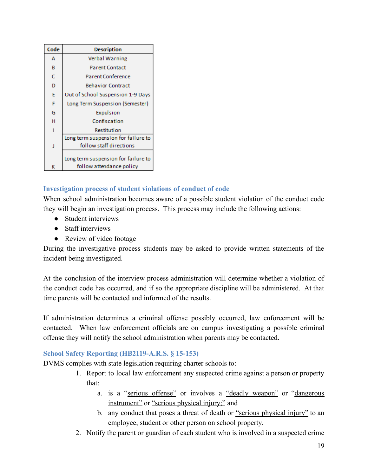| Code | Description                                                     |
|------|-----------------------------------------------------------------|
| А    | Verbal Warning                                                  |
| в    | <b>Parent Contact</b>                                           |
| Ċ    | <b>Parent Conference</b>                                        |
| D    | <b>Behavior Contract</b>                                        |
| E    | Out of School Suspension 1-9 Days                               |
| F    | Long Term Suspension (Semester)                                 |
| G    | Expulsion                                                       |
| н    | Confiscation                                                    |
|      | Restitution                                                     |
|      | Long term suspension for failure to                             |
| J    | follow staff directions                                         |
| к    | Long term suspension for failure to<br>follow attendance policy |

# **Investigation process of student violations of conduct of code**

When school administration becomes aware of a possible student violation of the conduct code they will begin an investigation process. This process may include the following actions:

- Student interviews
- Staff interviews
- Review of video footage

During the investigative process students may be asked to provide written statements of the incident being investigated.

At the conclusion of the interview process administration will determine whether a violation of the conduct code has occurred, and if so the appropriate discipline will be administered. At that time parents will be contacted and informed of the results.

If administration determines a criminal offense possibly occurred, law enforcement will be contacted. When law enforcement officials are on campus investigating a possible criminal offense they will notify the school administration when parents may be contacted.

# <span id="page-19-0"></span>**School Safety Reporting (HB2119-A.R.S. § 15-153)**

DVMS complies with state legislation requiring charter schools to:

- 1. Report to local law enforcement any suspected crime against a person or property that:
	- a. is a "serious offense" or involves a "deadly weapon" or "dangerous instrument" or "serious physical injury;" and
	- b. any conduct that poses a threat of death or "serious physical injury" to an employee, student or other person on school property.
- 2. Notify the parent or guardian of each student who is involved in a suspected crime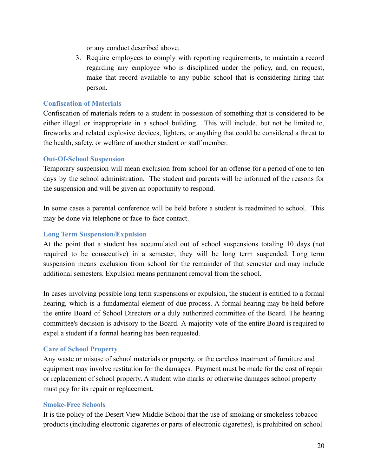or any conduct described above.

3. Require employees to comply with reporting requirements, to maintain a record regarding any employee who is disciplined under the policy, and, on request, make that record available to any public school that is considering hiring that person.

### **Confiscation of Materials**

Confiscation of materials refers to a student in possession of something that is considered to be either illegal or inappropriate in a school building. This will include, but not be limited to, fireworks and related explosive devices, lighters, or anything that could be considered a threat to the health, safety, or welfare of another student or staff member.

#### <span id="page-20-0"></span>**Out-Of-School Suspension**

Temporary suspension will mean exclusion from school for an offense for a period of one to ten days by the school administration. The student and parents will be informed of the reasons for the suspension and will be given an opportunity to respond.

<span id="page-20-1"></span>In some cases a parental conference will be held before a student is readmitted to school. This may be done via telephone or face-to-face contact.

### **Long Term Suspension/Expulsion**

At the point that a student has accumulated out of school suspensions totaling 10 days (not required to be consecutive) in a semester, they will be long term suspended. Long term suspension means exclusion from school for the remainder of that semester and may include additional semesters. Expulsion means permanent removal from the school.

<span id="page-20-2"></span>In cases involving possible long term suspensions or expulsion, the student is entitled to a formal hearing, which is a fundamental element of due process. A formal hearing may be held before the entire Board of School Directors or a duly authorized committee of the Board. The hearing committee's decision is advisory to the Board. A majority vote of the entire Board is required to expel a student if a formal hearing has been requested.

#### **Care of School Property**

Any waste or misuse of school materials or property, or the careless treatment of furniture and equipment may involve restitution for the damages. Payment must be made for the cost of repair or replacement of school property. A student who marks or otherwise damages school property must pay for its repair or replacement.

#### <span id="page-20-3"></span>**Smoke-Free Schools**

It is the policy of the Desert View Middle School that the use of smoking or smokeless tobacco products (including electronic cigarettes or parts of electronic cigarettes), is prohibited on school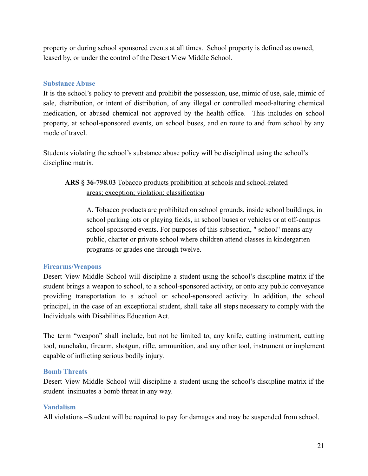<span id="page-21-0"></span>property or during school sponsored events at all times. School property is defined as owned, leased by, or under the control of the Desert View Middle School.

#### **Substance Abuse**

It is the school's policy to prevent and prohibit the possession, use, mimic of use, sale, mimic of sale, distribution, or intent of distribution, of any illegal or controlled mood-altering chemical medication, or abused chemical not approved by the health office. This includes on school property, at school-sponsored events, on school buses, and en route to and from school by any mode of travel.

Students violating the school's substance abuse policy will be disciplined using the school's discipline matrix.

# **ARS § 36-798.03** Tobacco products prohibition at schools and school-related areas; exception; violation; classification

A. Tobacco products are prohibited on school grounds, inside school buildings, in school parking lots or playing fields, in school buses or vehicles or at off-campus school sponsored events. For purposes of this subsection, " school" means any public, charter or private school where children attend classes in kindergarten programs or grades one through twelve.

### **Firearms/Weapons**

Desert View Middle School will discipline a student using the school's discipline matrix if the student brings a weapon to school, to a school-sponsored activity, or onto any public conveyance providing transportation to a school or school-sponsored activity. In addition, the school principal, in the case of an exceptional student, shall take all steps necessary to comply with the Individuals with Disabilities Education Act.

The term "weapon" shall include, but not be limited to, any knife, cutting instrument, cutting tool, nunchaku, firearm, shotgun, rifle, ammunition, and any other tool, instrument or implement capable of inflicting serious bodily injury.

#### <span id="page-21-1"></span>**Bomb Threats**

<span id="page-21-2"></span>Desert View Middle School will discipline a student using the school's discipline matrix if the student insinuates a bomb threat in any way.

### **Vandalism**

All violations –Student will be required to pay for damages and may be suspended from school.